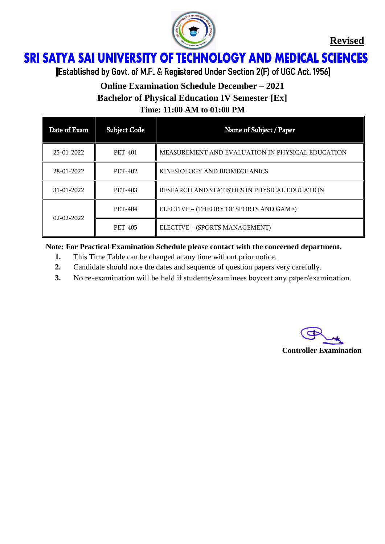

**Revised**

## **SRI SATYA SAI UNIVERSITY OF TECHNOLOGY AND MEDICAL SCIENCES** Ï

[Established by Govt. of M.P. & Registered Under Section 2(F) of UGC Act. 1956]

# **Online Examination Schedule December – 2021 Bachelor of Physical Education IV Semester [Ex] Time: 11:00 AM to 01:00 PM**

| Date of Exam     | <b>Subject Code</b> | Name of Subject / Paper                          |
|------------------|---------------------|--------------------------------------------------|
| 25-01-2022       | <b>PET-401</b>      | MEASUREMENT AND EVALUATION IN PHYSICAL EDUCATION |
| 28-01-2022       | <b>PET-402</b>      | KINESIOLOGY AND BIOMECHANICS                     |
| $31 - 01 - 2022$ | <b>PET-403</b>      | RESEARCH AND STATISTICS IN PHYSICAL EDUCATION    |
| $02 - 02 - 2022$ | <b>PET-404</b>      | ELECTIVE - (THEORY OF SPORTS AND GAME)           |
|                  | <b>PET-405</b>      | ELECTIVE - (SPORTS MANAGEMENT)                   |

**Note: For Practical Examination Schedule please contact with the concerned department.**

- **1.** This Time Table can be changed at any time without prior notice.
- **2.** Candidate should note the dates and sequence of question papers very carefully.
- **3.** No re-examination will be held if students/examinees boycott any paper/examination.

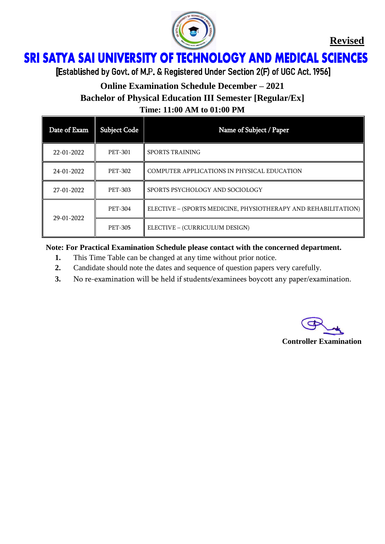

**Revised**

## **SRI SATYA SAI UNIVERSITY OF TECHNOLOGY AND MEDICAL SCIENCES** Ï

[Established by Govt. of M.P. & Registered Under Section 2(F) of UGC Act. 1956]

# **Online Examination Schedule December – 2021 Bachelor of Physical Education III Semester [Regular/Ex]**

**Time: 11:00 AM to 01:00 PM**

| Date of Exam | <b>Subject Code</b> | Name of Subject / Paper                                        |
|--------------|---------------------|----------------------------------------------------------------|
| 22-01-2022   | <b>PET-301</b>      | <b>SPORTS TRAINING</b>                                         |
| 24-01-2022   | PET-302             | COMPUTER APPLICATIONS IN PHYSICAL EDUCATION                    |
| 27-01-2022   | <b>PET-303</b>      | SPORTS PSYCHOLOGY AND SOCIOLOGY                                |
| 29-01-2022   | PET-304             | ELECTIVE - (SPORTS MEDICINE, PHYSIOTHERAPY AND REHABILITATION) |
|              | <b>PET-305</b>      | ELECTIVE - (CURRICULUM DESIGN)                                 |

#### **Note: For Practical Examination Schedule please contact with the concerned department.**

- **1.** This Time Table can be changed at any time without prior notice.
- **2.** Candidate should note the dates and sequence of question papers very carefully.
- **3.** No re-examination will be held if students/examinees boycott any paper/examination.